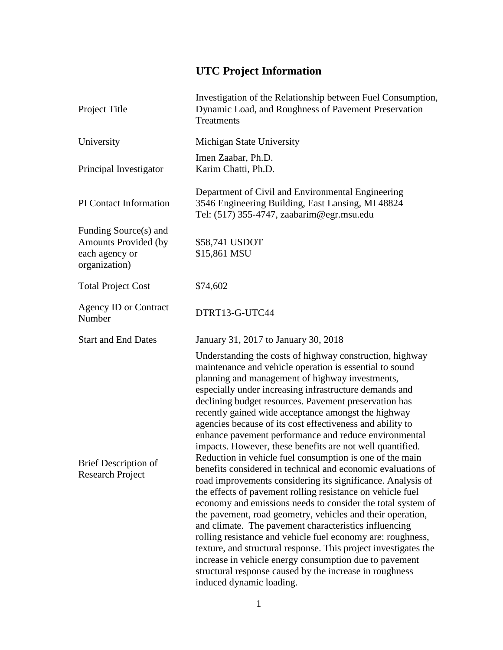## **UTC Project Information**

| Project Title                                                                    | Investigation of the Relationship between Fuel Consumption,<br>Dynamic Load, and Roughness of Pavement Preservation<br><b>Treatments</b>                                                                                                                                                                                                                                                                                                                                                                                                                                                                                                                                                                                                                                                                                                                                                                                                                                                                                                                                                                                                                                                                                                                              |
|----------------------------------------------------------------------------------|-----------------------------------------------------------------------------------------------------------------------------------------------------------------------------------------------------------------------------------------------------------------------------------------------------------------------------------------------------------------------------------------------------------------------------------------------------------------------------------------------------------------------------------------------------------------------------------------------------------------------------------------------------------------------------------------------------------------------------------------------------------------------------------------------------------------------------------------------------------------------------------------------------------------------------------------------------------------------------------------------------------------------------------------------------------------------------------------------------------------------------------------------------------------------------------------------------------------------------------------------------------------------|
| University                                                                       | Michigan State University                                                                                                                                                                                                                                                                                                                                                                                                                                                                                                                                                                                                                                                                                                                                                                                                                                                                                                                                                                                                                                                                                                                                                                                                                                             |
| Principal Investigator                                                           | Imen Zaabar, Ph.D.<br>Karim Chatti, Ph.D.                                                                                                                                                                                                                                                                                                                                                                                                                                                                                                                                                                                                                                                                                                                                                                                                                                                                                                                                                                                                                                                                                                                                                                                                                             |
| PI Contact Information                                                           | Department of Civil and Environmental Engineering<br>3546 Engineering Building, East Lansing, MI 48824<br>Tel: (517) 355-4747, zaabarim@egr.msu.edu                                                                                                                                                                                                                                                                                                                                                                                                                                                                                                                                                                                                                                                                                                                                                                                                                                                                                                                                                                                                                                                                                                                   |
| Funding Source(s) and<br>Amounts Provided (by<br>each agency or<br>organization) | \$58,741 USDOT<br>\$15,861 MSU                                                                                                                                                                                                                                                                                                                                                                                                                                                                                                                                                                                                                                                                                                                                                                                                                                                                                                                                                                                                                                                                                                                                                                                                                                        |
| <b>Total Project Cost</b>                                                        | \$74,602                                                                                                                                                                                                                                                                                                                                                                                                                                                                                                                                                                                                                                                                                                                                                                                                                                                                                                                                                                                                                                                                                                                                                                                                                                                              |
| <b>Agency ID or Contract</b><br>Number                                           | DTRT13-G-UTC44                                                                                                                                                                                                                                                                                                                                                                                                                                                                                                                                                                                                                                                                                                                                                                                                                                                                                                                                                                                                                                                                                                                                                                                                                                                        |
| <b>Start and End Dates</b>                                                       | January 31, 2017 to January 30, 2018                                                                                                                                                                                                                                                                                                                                                                                                                                                                                                                                                                                                                                                                                                                                                                                                                                                                                                                                                                                                                                                                                                                                                                                                                                  |
| <b>Brief Description of</b><br><b>Research Project</b>                           | Understanding the costs of highway construction, highway<br>maintenance and vehicle operation is essential to sound<br>planning and management of highway investments,<br>especially under increasing infrastructure demands and<br>declining budget resources. Pavement preservation has<br>recently gained wide acceptance amongst the highway<br>agencies because of its cost effectiveness and ability to<br>enhance pavement performance and reduce environmental<br>impacts. However, these benefits are not well quantified.<br>Reduction in vehicle fuel consumption is one of the main<br>benefits considered in technical and economic evaluations of<br>road improvements considering its significance. Analysis of<br>the effects of pavement rolling resistance on vehicle fuel<br>economy and emissions needs to consider the total system of<br>the pavement, road geometry, vehicles and their operation,<br>and climate. The pavement characteristics influencing<br>rolling resistance and vehicle fuel economy are: roughness,<br>texture, and structural response. This project investigates the<br>increase in vehicle energy consumption due to pavement<br>structural response caused by the increase in roughness<br>induced dynamic loading. |